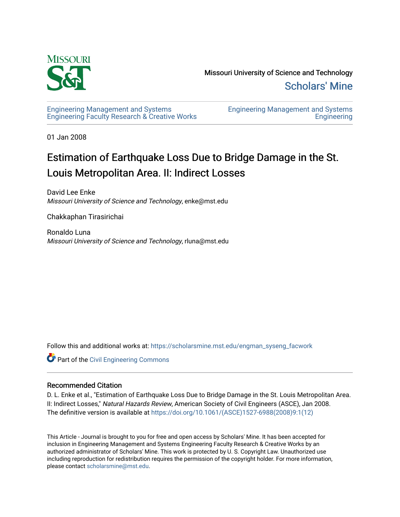

Missouri University of Science and Technology [Scholars' Mine](https://scholarsmine.mst.edu/) 

[Engineering Management and Systems](https://scholarsmine.mst.edu/engman_syseng_facwork)  [Engineering Faculty Research & Creative Works](https://scholarsmine.mst.edu/engman_syseng_facwork) [Engineering Management and Systems](https://scholarsmine.mst.edu/engman_syseng)  **Engineering** 

01 Jan 2008

## Estimation of Earthquake Loss Due to Bridge Damage in the St. Louis Metropolitan Area. II: Indirect Losses

David Lee Enke Missouri University of Science and Technology, enke@mst.edu

Chakkaphan Tirasirichai

Ronaldo Luna Missouri University of Science and Technology, rluna@mst.edu

Follow this and additional works at: [https://scholarsmine.mst.edu/engman\\_syseng\\_facwork](https://scholarsmine.mst.edu/engman_syseng_facwork?utm_source=scholarsmine.mst.edu%2Fengman_syseng_facwork%2F254&utm_medium=PDF&utm_campaign=PDFCoverPages) 

**Part of the [Civil Engineering Commons](http://network.bepress.com/hgg/discipline/252?utm_source=scholarsmine.mst.edu%2Fengman_syseng_facwork%2F254&utm_medium=PDF&utm_campaign=PDFCoverPages)** 

## Recommended Citation

D. L. Enke et al., "Estimation of Earthquake Loss Due to Bridge Damage in the St. Louis Metropolitan Area. II: Indirect Losses," Natural Hazards Review, American Society of Civil Engineers (ASCE), Jan 2008. The definitive version is available at [https://doi.org/10.1061/\(ASCE\)1527-6988\(2008\)9:1\(12\)](https://doi.org/10.1061/(ASCE)1527-6988(2008)9:1(12)) 

This Article - Journal is brought to you for free and open access by Scholars' Mine. It has been accepted for inclusion in Engineering Management and Systems Engineering Faculty Research & Creative Works by an authorized administrator of Scholars' Mine. This work is protected by U. S. Copyright Law. Unauthorized use including reproduction for redistribution requires the permission of the copyright holder. For more information, please contact [scholarsmine@mst.edu.](mailto:scholarsmine@mst.edu)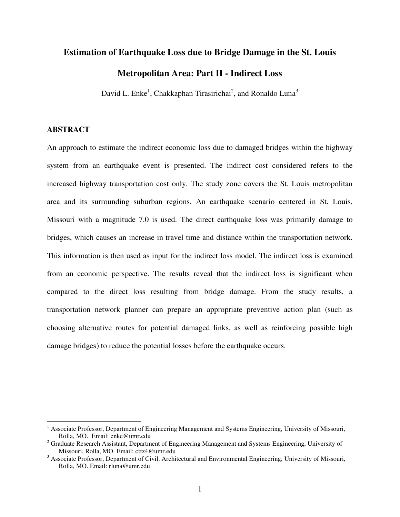# **Estimation of Earthquake Loss due to Bridge Damage in the St. Louis**

## **Metropolitan Area: Part II - Indirect Loss**

David L. Enke<sup>1</sup>, Chakkaphan Tirasirichai<sup>2</sup>, and Ronaldo Luna<sup>3</sup>

## **ABSTRACT**

 $\overline{a}$ 

An approach to estimate the indirect economic loss due to damaged bridges within the highway system from an earthquake event is presented. The indirect cost considered refers to the increased highway transportation cost only. The study zone covers the St. Louis metropolitan area and its surrounding suburban regions. An earthquake scenario centered in St. Louis, Missouri with a magnitude 7.0 is used. The direct earthquake loss was primarily damage to bridges, which causes an increase in travel time and distance within the transportation network. This information is then used as input for the indirect loss model. The indirect loss is examined from an economic perspective. The results reveal that the indirect loss is significant when compared to the direct loss resulting from bridge damage. From the study results, a transportation network planner can prepare an appropriate preventive action plan (such as choosing alternative routes for potential damaged links, as well as reinforcing possible high damage bridges) to reduce the potential losses before the earthquake occurs.

<sup>&</sup>lt;sup>1</sup> Associate Professor, Department of Engineering Management and Systems Engineering, University of Missouri, Rolla, MO. Email: enke@umr.edu

<sup>&</sup>lt;sup>2</sup> Graduate Research Assistant, Department of Engineering Management and Systems Engineering, University of Missouri, Rolla, MO. Email: cttz4@umr.edu

 $3$  Associate Professor, Department of Civil, Architectural and Environmental Engineering, University of Missouri, Rolla, MO. Email: rluna@umr.edu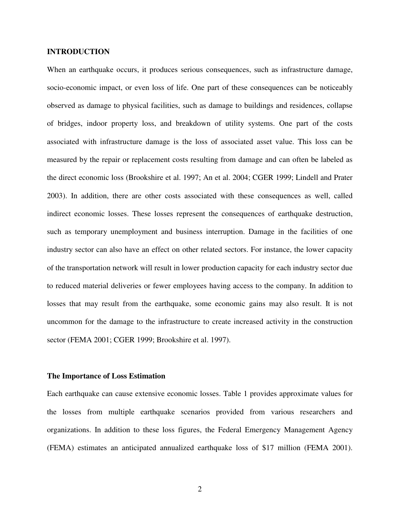#### **INTRODUCTION**

When an earthquake occurs, it produces serious consequences, such as infrastructure damage, socio-economic impact, or even loss of life. One part of these consequences can be noticeably observed as damage to physical facilities, such as damage to buildings and residences, collapse of bridges, indoor property loss, and breakdown of utility systems. One part of the costs associated with infrastructure damage is the loss of associated asset value. This loss can be measured by the repair or replacement costs resulting from damage and can often be labeled as the direct economic loss (Brookshire et al. 1997; An et al. 2004; CGER 1999; Lindell and Prater 2003). In addition, there are other costs associated with these consequences as well, called indirect economic losses. These losses represent the consequences of earthquake destruction, such as temporary unemployment and business interruption. Damage in the facilities of one industry sector can also have an effect on other related sectors. For instance, the lower capacity of the transportation network will result in lower production capacity for each industry sector due to reduced material deliveries or fewer employees having access to the company. In addition to losses that may result from the earthquake, some economic gains may also result. It is not uncommon for the damage to the infrastructure to create increased activity in the construction sector (FEMA 2001; CGER 1999; Brookshire et al. 1997).

#### **The Importance of Loss Estimation**

Each earthquake can cause extensive economic losses. Table 1 provides approximate values for the losses from multiple earthquake scenarios provided from various researchers and organizations. In addition to these loss figures, the Federal Emergency Management Agency (FEMA) estimates an anticipated annualized earthquake loss of \$17 million (FEMA 2001).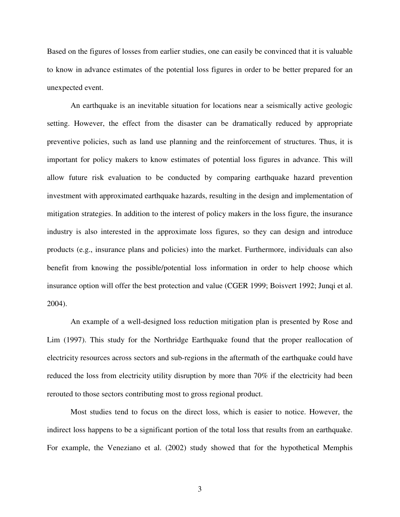Based on the figures of losses from earlier studies, one can easily be convinced that it is valuable to know in advance estimates of the potential loss figures in order to be better prepared for an unexpected event.

 An earthquake is an inevitable situation for locations near a seismically active geologic setting. However, the effect from the disaster can be dramatically reduced by appropriate preventive policies, such as land use planning and the reinforcement of structures. Thus, it is important for policy makers to know estimates of potential loss figures in advance. This will allow future risk evaluation to be conducted by comparing earthquake hazard prevention investment with approximated earthquake hazards, resulting in the design and implementation of mitigation strategies. In addition to the interest of policy makers in the loss figure, the insurance industry is also interested in the approximate loss figures, so they can design and introduce products (e.g., insurance plans and policies) into the market. Furthermore, individuals can also benefit from knowing the possible/potential loss information in order to help choose which insurance option will offer the best protection and value (CGER 1999; Boisvert 1992; Junqi et al. 2004).

 An example of a well-designed loss reduction mitigation plan is presented by Rose and Lim (1997). This study for the Northridge Earthquake found that the proper reallocation of electricity resources across sectors and sub-regions in the aftermath of the earthquake could have reduced the loss from electricity utility disruption by more than 70% if the electricity had been rerouted to those sectors contributing most to gross regional product.

 Most studies tend to focus on the direct loss, which is easier to notice. However, the indirect loss happens to be a significant portion of the total loss that results from an earthquake. For example, the Veneziano et al. (2002) study showed that for the hypothetical Memphis

3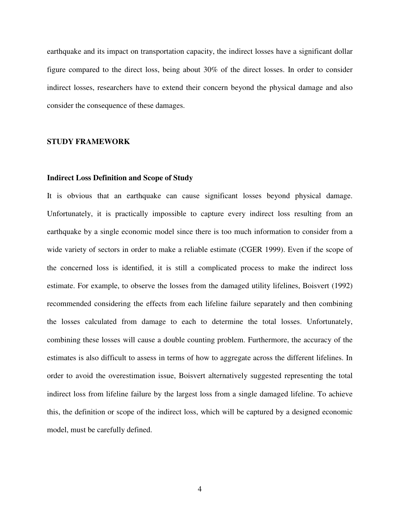earthquake and its impact on transportation capacity, the indirect losses have a significant dollar figure compared to the direct loss, being about 30% of the direct losses. In order to consider indirect losses, researchers have to extend their concern beyond the physical damage and also consider the consequence of these damages.

### **STUDY FRAMEWORK**

#### **Indirect Loss Definition and Scope of Study**

It is obvious that an earthquake can cause significant losses beyond physical damage. Unfortunately, it is practically impossible to capture every indirect loss resulting from an earthquake by a single economic model since there is too much information to consider from a wide variety of sectors in order to make a reliable estimate (CGER 1999). Even if the scope of the concerned loss is identified, it is still a complicated process to make the indirect loss estimate. For example, to observe the losses from the damaged utility lifelines, Boisvert (1992) recommended considering the effects from each lifeline failure separately and then combining the losses calculated from damage to each to determine the total losses. Unfortunately, combining these losses will cause a double counting problem. Furthermore, the accuracy of the estimates is also difficult to assess in terms of how to aggregate across the different lifelines. In order to avoid the overestimation issue, Boisvert alternatively suggested representing the total indirect loss from lifeline failure by the largest loss from a single damaged lifeline. To achieve this, the definition or scope of the indirect loss, which will be captured by a designed economic model, must be carefully defined.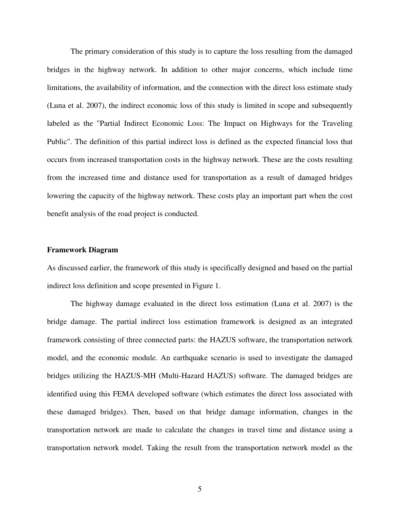The primary consideration of this study is to capture the loss resulting from the damaged bridges in the highway network. In addition to other major concerns, which include time limitations, the availability of information, and the connection with the direct loss estimate study (Luna et al. 2007), the indirect economic loss of this study is limited in scope and subsequently labeled as the "Partial Indirect Economic Loss: The Impact on Highways for the Traveling Public". The definition of this partial indirect loss is defined as the expected financial loss that occurs from increased transportation costs in the highway network. These are the costs resulting from the increased time and distance used for transportation as a result of damaged bridges lowering the capacity of the highway network. These costs play an important part when the cost benefit analysis of the road project is conducted.

#### **Framework Diagram**

As discussed earlier, the framework of this study is specifically designed and based on the partial indirect loss definition and scope presented in Figure 1.

 The highway damage evaluated in the direct loss estimation (Luna et al. 2007) is the bridge damage. The partial indirect loss estimation framework is designed as an integrated framework consisting of three connected parts: the HAZUS software, the transportation network model, and the economic module. An earthquake scenario is used to investigate the damaged bridges utilizing the HAZUS-MH (Multi-Hazard HAZUS) software. The damaged bridges are identified using this FEMA developed software (which estimates the direct loss associated with these damaged bridges). Then, based on that bridge damage information, changes in the transportation network are made to calculate the changes in travel time and distance using a transportation network model. Taking the result from the transportation network model as the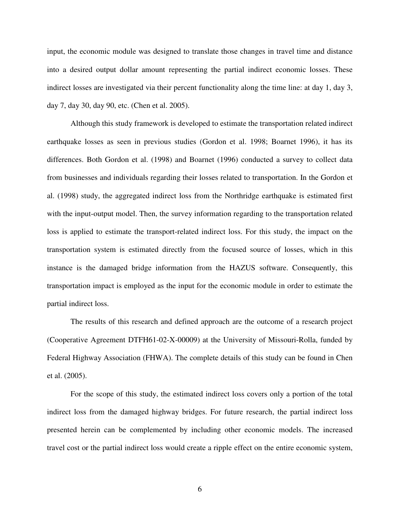input, the economic module was designed to translate those changes in travel time and distance into a desired output dollar amount representing the partial indirect economic losses. These indirect losses are investigated via their percent functionality along the time line: at day 1, day 3, day 7, day 30, day 90, etc. (Chen et al. 2005).

Although this study framework is developed to estimate the transportation related indirect earthquake losses as seen in previous studies (Gordon et al. 1998; Boarnet 1996), it has its differences. Both Gordon et al. (1998) and Boarnet (1996) conducted a survey to collect data from businesses and individuals regarding their losses related to transportation. In the Gordon et al. (1998) study, the aggregated indirect loss from the Northridge earthquake is estimated first with the input-output model. Then, the survey information regarding to the transportation related loss is applied to estimate the transport-related indirect loss. For this study, the impact on the transportation system is estimated directly from the focused source of losses, which in this instance is the damaged bridge information from the HAZUS software. Consequently, this transportation impact is employed as the input for the economic module in order to estimate the partial indirect loss.

The results of this research and defined approach are the outcome of a research project (Cooperative Agreement DTFH61-02-X-00009) at the University of Missouri-Rolla, funded by Federal Highway Association (FHWA). The complete details of this study can be found in Chen et al. (2005).

 For the scope of this study, the estimated indirect loss covers only a portion of the total indirect loss from the damaged highway bridges. For future research, the partial indirect loss presented herein can be complemented by including other economic models. The increased travel cost or the partial indirect loss would create a ripple effect on the entire economic system,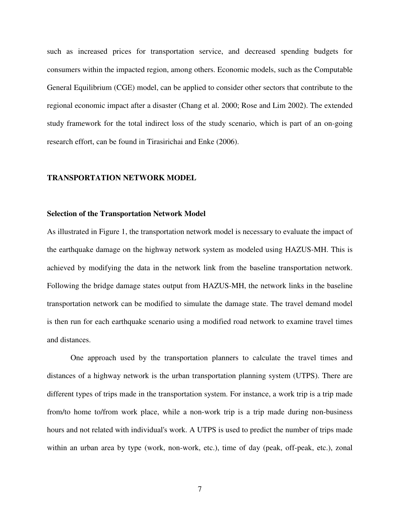such as increased prices for transportation service, and decreased spending budgets for consumers within the impacted region, among others. Economic models, such as the Computable General Equilibrium (CGE) model, can be applied to consider other sectors that contribute to the regional economic impact after a disaster (Chang et al. 2000; Rose and Lim 2002). The extended study framework for the total indirect loss of the study scenario, which is part of an on-going research effort, can be found in Tirasirichai and Enke (2006).

#### **TRANSPORTATION NETWORK MODEL**

#### **Selection of the Transportation Network Model**

As illustrated in Figure 1, the transportation network model is necessary to evaluate the impact of the earthquake damage on the highway network system as modeled using HAZUS-MH. This is achieved by modifying the data in the network link from the baseline transportation network. Following the bridge damage states output from HAZUS-MH, the network links in the baseline transportation network can be modified to simulate the damage state. The travel demand model is then run for each earthquake scenario using a modified road network to examine travel times and distances.

 One approach used by the transportation planners to calculate the travel times and distances of a highway network is the urban transportation planning system (UTPS). There are different types of trips made in the transportation system. For instance, a work trip is a trip made from/to home to/from work place, while a non-work trip is a trip made during non-business hours and not related with individual's work. A UTPS is used to predict the number of trips made within an urban area by type (work, non-work, etc.), time of day (peak, off-peak, etc.), zonal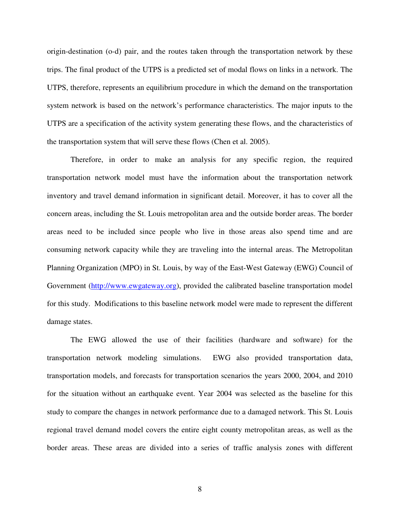origin-destination (o-d) pair, and the routes taken through the transportation network by these trips. The final product of the UTPS is a predicted set of modal flows on links in a network. The UTPS, therefore, represents an equilibrium procedure in which the demand on the transportation system network is based on the network's performance characteristics. The major inputs to the UTPS are a specification of the activity system generating these flows, and the characteristics of the transportation system that will serve these flows (Chen et al. 2005).

 Therefore, in order to make an analysis for any specific region, the required transportation network model must have the information about the transportation network inventory and travel demand information in significant detail. Moreover, it has to cover all the concern areas, including the St. Louis metropolitan area and the outside border areas. The border areas need to be included since people who live in those areas also spend time and are consuming network capacity while they are traveling into the internal areas. The Metropolitan Planning Organization (MPO) in St. Louis, by way of the East-West Gateway (EWG) Council of Government (http://www.ewgateway.org), provided the calibrated baseline transportation model for this study. Modifications to this baseline network model were made to represent the different damage states.

The EWG allowed the use of their facilities (hardware and software) for the transportation network modeling simulations. EWG also provided transportation data, transportation models, and forecasts for transportation scenarios the years 2000, 2004, and 2010 for the situation without an earthquake event. Year 2004 was selected as the baseline for this study to compare the changes in network performance due to a damaged network. This St. Louis regional travel demand model covers the entire eight county metropolitan areas, as well as the border areas. These areas are divided into a series of traffic analysis zones with different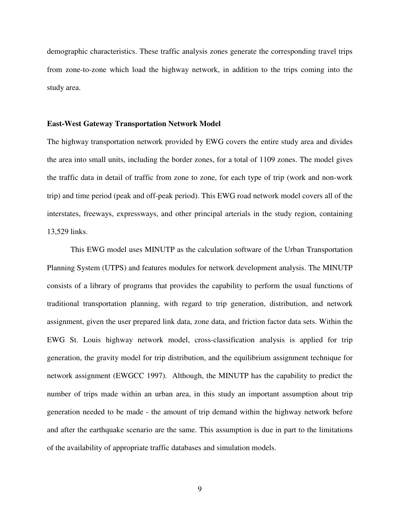demographic characteristics. These traffic analysis zones generate the corresponding travel trips from zone-to-zone which load the highway network, in addition to the trips coming into the study area.

#### **East-West Gateway Transportation Network Model**

The highway transportation network provided by EWG covers the entire study area and divides the area into small units, including the border zones, for a total of 1109 zones. The model gives the traffic data in detail of traffic from zone to zone, for each type of trip (work and non-work trip) and time period (peak and off-peak period). This EWG road network model covers all of the interstates, freeways, expressways, and other principal arterials in the study region, containing 13,529 links.

 This EWG model uses MINUTP as the calculation software of the Urban Transportation Planning System (UTPS) and features modules for network development analysis. The MINUTP consists of a library of programs that provides the capability to perform the usual functions of traditional transportation planning, with regard to trip generation, distribution, and network assignment, given the user prepared link data, zone data, and friction factor data sets. Within the EWG St. Louis highway network model, cross-classification analysis is applied for trip generation, the gravity model for trip distribution, and the equilibrium assignment technique for network assignment (EWGCC 1997). Although, the MINUTP has the capability to predict the number of trips made within an urban area, in this study an important assumption about trip generation needed to be made - the amount of trip demand within the highway network before and after the earthquake scenario are the same. This assumption is due in part to the limitations of the availability of appropriate traffic databases and simulation models.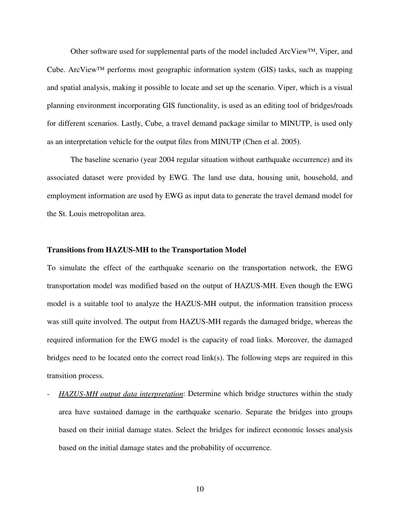Other software used for supplemental parts of the model included  $ArcViewTM$ , Viper, and Cube. ArcView™ performs most geographic information system (GIS) tasks, such as mapping and spatial analysis, making it possible to locate and set up the scenario. Viper, which is a visual planning environment incorporating GIS functionality, is used as an editing tool of bridges/roads for different scenarios. Lastly, Cube, a travel demand package similar to MINUTP, is used only as an interpretation vehicle for the output files from MINUTP (Chen et al. 2005).

 The baseline scenario (year 2004 regular situation without earthquake occurrence) and its associated dataset were provided by EWG. The land use data, housing unit, household, and employment information are used by EWG as input data to generate the travel demand model for the St. Louis metropolitan area.

#### **Transitions from HAZUS-MH to the Transportation Model**

To simulate the effect of the earthquake scenario on the transportation network, the EWG transportation model was modified based on the output of HAZUS-MH. Even though the EWG model is a suitable tool to analyze the HAZUS-MH output, the information transition process was still quite involved. The output from HAZUS-MH regards the damaged bridge, whereas the required information for the EWG model is the capacity of road links. Moreover, the damaged bridges need to be located onto the correct road link(s). The following steps are required in this transition process.

- *HAZUS-MH output data interpretation*: Determine which bridge structures within the study area have sustained damage in the earthquake scenario. Separate the bridges into groups based on their initial damage states. Select the bridges for indirect economic losses analysis based on the initial damage states and the probability of occurrence.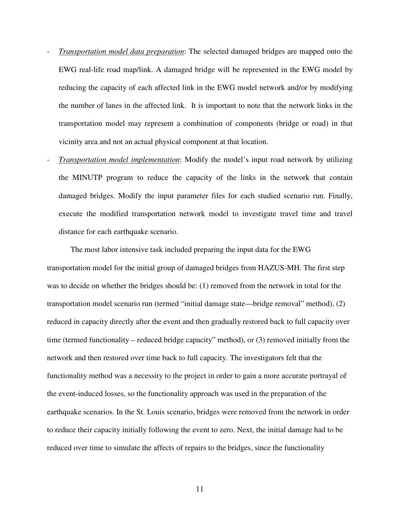- *Transportation model data preparation*: The selected damaged bridges are mapped onto the EWG real-life road map/link. A damaged bridge will be represented in the EWG model by reducing the capacity of each affected link in the EWG model network and/or by modifying the number of lanes in the affected link. It is important to note that the network links in the transportation model may represent a combination of components (bridge or road) in that vicinity area and not an actual physical component at that location.
- *Transportation model implementation*: Modify the model's input road network by utilizing the MINUTP program to reduce the capacity of the links in the network that contain damaged bridges. Modify the input parameter files for each studied scenario run. Finally, execute the modified transportation network model to investigate travel time and travel distance for each earthquake scenario.

The most labor intensive task included preparing the input data for the EWG transportation model for the initial group of damaged bridges from HAZUS-MH. The first step was to decide on whether the bridges should be: (1) removed from the network in total for the transportation model scenario run (termed "initial damage state—bridge removal" method), (2) reduced in capacity directly after the event and then gradually restored back to full capacity over time (termed functionality – reduced bridge capacity" method), or (3) removed initially from the network and then restored over time back to full capacity. The investigators felt that the functionality method was a necessity to the project in order to gain a more accurate portrayal of the event-induced losses, so the functionality approach was used in the preparation of the earthquake scenarios. In the St. Louis scenario, bridges were removed from the network in order to reduce their capacity initially following the event to zero. Next, the initial damage had to be reduced over time to simulate the affects of repairs to the bridges, since the functionality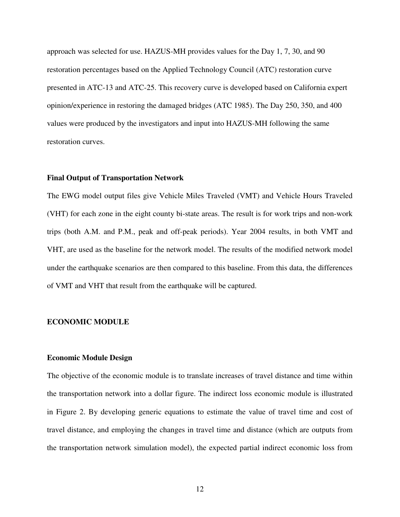approach was selected for use. HAZUS-MH provides values for the Day 1, 7, 30, and 90 restoration percentages based on the Applied Technology Council (ATC) restoration curve presented in ATC-13 and ATC-25. This recovery curve is developed based on California expert opinion/experience in restoring the damaged bridges (ATC 1985). The Day 250, 350, and 400 values were produced by the investigators and input into HAZUS-MH following the same restoration curves.

#### **Final Output of Transportation Network**

The EWG model output files give Vehicle Miles Traveled (VMT) and Vehicle Hours Traveled (VHT) for each zone in the eight county bi-state areas. The result is for work trips and non-work trips (both A.M. and P.M., peak and off-peak periods). Year 2004 results, in both VMT and VHT, are used as the baseline for the network model. The results of the modified network model under the earthquake scenarios are then compared to this baseline. From this data, the differences of VMT and VHT that result from the earthquake will be captured.

#### **ECONOMIC MODULE**

#### **Economic Module Design**

The objective of the economic module is to translate increases of travel distance and time within the transportation network into a dollar figure. The indirect loss economic module is illustrated in Figure 2. By developing generic equations to estimate the value of travel time and cost of travel distance, and employing the changes in travel time and distance (which are outputs from the transportation network simulation model), the expected partial indirect economic loss from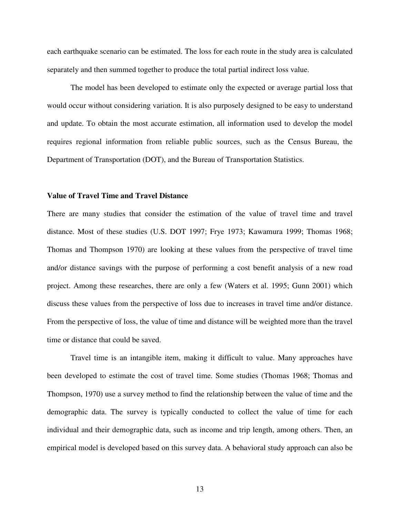each earthquake scenario can be estimated. The loss for each route in the study area is calculated separately and then summed together to produce the total partial indirect loss value.

 The model has been developed to estimate only the expected or average partial loss that would occur without considering variation. It is also purposely designed to be easy to understand and update. To obtain the most accurate estimation, all information used to develop the model requires regional information from reliable public sources, such as the Census Bureau, the Department of Transportation (DOT), and the Bureau of Transportation Statistics.

#### **Value of Travel Time and Travel Distance**

There are many studies that consider the estimation of the value of travel time and travel distance. Most of these studies (U.S. DOT 1997; Frye 1973; Kawamura 1999; Thomas 1968; Thomas and Thompson 1970) are looking at these values from the perspective of travel time and/or distance savings with the purpose of performing a cost benefit analysis of a new road project. Among these researches, there are only a few (Waters et al. 1995; Gunn 2001) which discuss these values from the perspective of loss due to increases in travel time and/or distance. From the perspective of loss, the value of time and distance will be weighted more than the travel time or distance that could be saved.

 Travel time is an intangible item, making it difficult to value. Many approaches have been developed to estimate the cost of travel time. Some studies (Thomas 1968; Thomas and Thompson, 1970) use a survey method to find the relationship between the value of time and the demographic data. The survey is typically conducted to collect the value of time for each individual and their demographic data, such as income and trip length, among others. Then, an empirical model is developed based on this survey data. A behavioral study approach can also be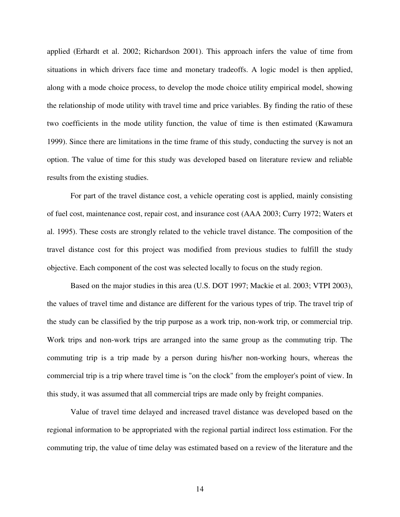applied (Erhardt et al. 2002; Richardson 2001). This approach infers the value of time from situations in which drivers face time and monetary tradeoffs. A logic model is then applied, along with a mode choice process, to develop the mode choice utility empirical model, showing the relationship of mode utility with travel time and price variables. By finding the ratio of these two coefficients in the mode utility function, the value of time is then estimated (Kawamura 1999). Since there are limitations in the time frame of this study, conducting the survey is not an option. The value of time for this study was developed based on literature review and reliable results from the existing studies.

 For part of the travel distance cost, a vehicle operating cost is applied, mainly consisting of fuel cost, maintenance cost, repair cost, and insurance cost (AAA 2003; Curry 1972; Waters et al. 1995). These costs are strongly related to the vehicle travel distance. The composition of the travel distance cost for this project was modified from previous studies to fulfill the study objective. Each component of the cost was selected locally to focus on the study region.

 Based on the major studies in this area (U.S. DOT 1997; Mackie et al. 2003; VTPI 2003), the values of travel time and distance are different for the various types of trip. The travel trip of the study can be classified by the trip purpose as a work trip, non-work trip, or commercial trip. Work trips and non-work trips are arranged into the same group as the commuting trip. The commuting trip is a trip made by a person during his/her non-working hours, whereas the commercial trip is a trip where travel time is "on the clock" from the employer's point of view. In this study, it was assumed that all commercial trips are made only by freight companies.

 Value of travel time delayed and increased travel distance was developed based on the regional information to be appropriated with the regional partial indirect loss estimation. For the commuting trip, the value of time delay was estimated based on a review of the literature and the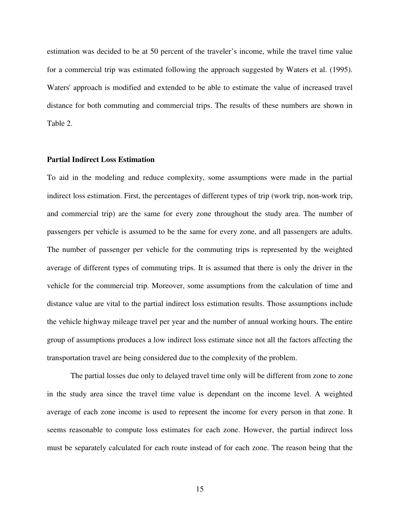estimation was decided to be at 50 percent of the traveler's income, while the travel time value for a commercial trip was estimated following the approach suggested by Waters et al. (1995). Waters' approach is modified and extended to be able to estimate the value of increased travel distance for both commuting and commercial trips. The results of these numbers are shown in Table 2.

#### **Partial Indirect Loss Estimation**

To aid in the modeling and reduce complexity, some assumptions were made in the partial indirect loss estimation. First, the percentages of different types of trip (work trip, non-work trip, and commercial trip) are the same for every zone throughout the study area. The number of passengers per vehicle is assumed to be the same for every zone, and all passengers are adults. The number of passenger per vehicle for the commuting trips is represented by the weighted average of different types of commuting trips. It is assumed that there is only the driver in the vehicle for the commercial trip. Moreover, some assumptions from the calculation of time and distance value are vital to the partial indirect loss estimation results. Those assumptions include the vehicle highway mileage travel per year and the number of annual working hours. The entire group of assumptions produces a low indirect loss estimate since not all the factors affecting the transportation travel are being considered due to the complexity of the problem.

 The partial losses due only to delayed travel time only will be different from zone to zone in the study area since the travel time value is dependant on the income level. A weighted average of each zone income is used to represent the income for every person in that zone. It seems reasonable to compute loss estimates for each zone. However, the partial indirect loss must be separately calculated for each route instead of for each zone. The reason being that the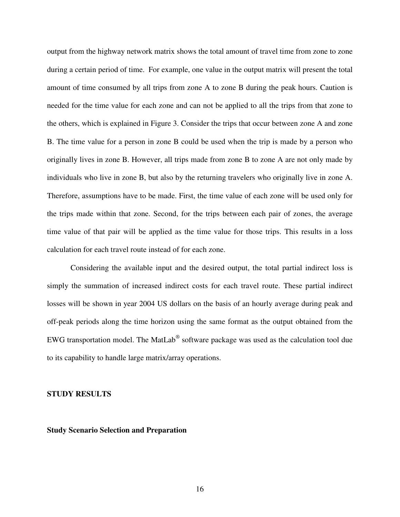output from the highway network matrix shows the total amount of travel time from zone to zone during a certain period of time. For example, one value in the output matrix will present the total amount of time consumed by all trips from zone A to zone B during the peak hours. Caution is needed for the time value for each zone and can not be applied to all the trips from that zone to the others, which is explained in Figure 3. Consider the trips that occur between zone A and zone B. The time value for a person in zone B could be used when the trip is made by a person who originally lives in zone B. However, all trips made from zone B to zone A are not only made by individuals who live in zone B, but also by the returning travelers who originally live in zone A. Therefore, assumptions have to be made. First, the time value of each zone will be used only for the trips made within that zone. Second, for the trips between each pair of zones, the average time value of that pair will be applied as the time value for those trips. This results in a loss calculation for each travel route instead of for each zone.

 Considering the available input and the desired output, the total partial indirect loss is simply the summation of increased indirect costs for each travel route. These partial indirect losses will be shown in year 2004 US dollars on the basis of an hourly average during peak and off-peak periods along the time horizon using the same format as the output obtained from the EWG transportation model. The MatLab $^{\circledR}$  software package was used as the calculation tool due to its capability to handle large matrix/array operations.

#### **STUDY RESULTS**

#### **Study Scenario Selection and Preparation**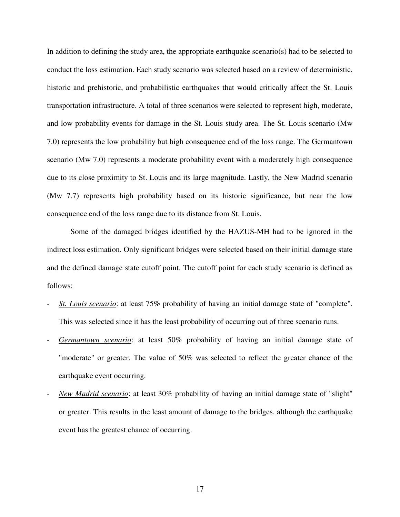In addition to defining the study area, the appropriate earthquake scenario(s) had to be selected to conduct the loss estimation. Each study scenario was selected based on a review of deterministic, historic and prehistoric, and probabilistic earthquakes that would critically affect the St. Louis transportation infrastructure. A total of three scenarios were selected to represent high, moderate, and low probability events for damage in the St. Louis study area. The St. Louis scenario (Mw 7.0) represents the low probability but high consequence end of the loss range. The Germantown scenario (Mw 7.0) represents a moderate probability event with a moderately high consequence due to its close proximity to St. Louis and its large magnitude. Lastly, the New Madrid scenario (Mw 7.7) represents high probability based on its historic significance, but near the low consequence end of the loss range due to its distance from St. Louis.

 Some of the damaged bridges identified by the HAZUS-MH had to be ignored in the indirect loss estimation. Only significant bridges were selected based on their initial damage state and the defined damage state cutoff point. The cutoff point for each study scenario is defined as follows:

- *St. Louis scenario*: at least 75% probability of having an initial damage state of "complete". This was selected since it has the least probability of occurring out of three scenario runs.
- *Germantown scenario*: at least 50% probability of having an initial damage state of "moderate" or greater. The value of 50% was selected to reflect the greater chance of the earthquake event occurring.
- *New Madrid scenario*: at least 30% probability of having an initial damage state of "slight" or greater. This results in the least amount of damage to the bridges, although the earthquake event has the greatest chance of occurring.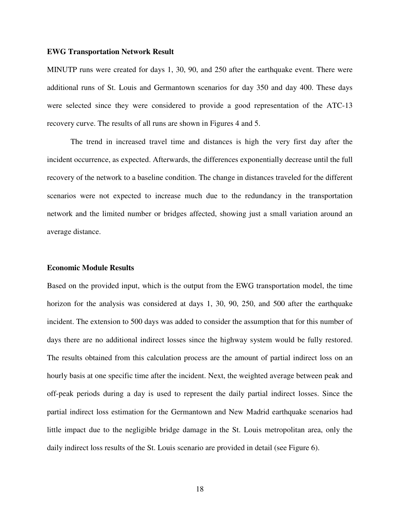#### **EWG Transportation Network Result**

MINUTP runs were created for days 1, 30, 90, and 250 after the earthquake event. There were additional runs of St. Louis and Germantown scenarios for day 350 and day 400. These days were selected since they were considered to provide a good representation of the ATC-13 recovery curve. The results of all runs are shown in Figures 4 and 5.

 The trend in increased travel time and distances is high the very first day after the incident occurrence, as expected. Afterwards, the differences exponentially decrease until the full recovery of the network to a baseline condition. The change in distances traveled for the different scenarios were not expected to increase much due to the redundancy in the transportation network and the limited number or bridges affected, showing just a small variation around an average distance.

#### **Economic Module Results**

Based on the provided input, which is the output from the EWG transportation model, the time horizon for the analysis was considered at days 1, 30, 90, 250, and 500 after the earthquake incident. The extension to 500 days was added to consider the assumption that for this number of days there are no additional indirect losses since the highway system would be fully restored. The results obtained from this calculation process are the amount of partial indirect loss on an hourly basis at one specific time after the incident. Next, the weighted average between peak and off-peak periods during a day is used to represent the daily partial indirect losses. Since the partial indirect loss estimation for the Germantown and New Madrid earthquake scenarios had little impact due to the negligible bridge damage in the St. Louis metropolitan area, only the daily indirect loss results of the St. Louis scenario are provided in detail (see Figure 6).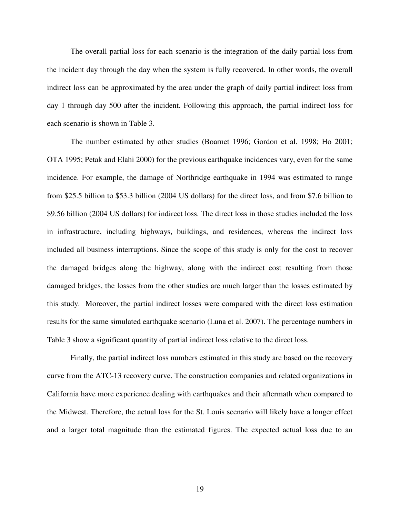The overall partial loss for each scenario is the integration of the daily partial loss from the incident day through the day when the system is fully recovered. In other words, the overall indirect loss can be approximated by the area under the graph of daily partial indirect loss from day 1 through day 500 after the incident. Following this approach, the partial indirect loss for each scenario is shown in Table 3.

 The number estimated by other studies (Boarnet 1996; Gordon et al. 1998; Ho 2001; OTA 1995; Petak and Elahi 2000) for the previous earthquake incidences vary, even for the same incidence. For example, the damage of Northridge earthquake in 1994 was estimated to range from \$25.5 billion to \$53.3 billion (2004 US dollars) for the direct loss, and from \$7.6 billion to \$9.56 billion (2004 US dollars) for indirect loss. The direct loss in those studies included the loss in infrastructure, including highways, buildings, and residences, whereas the indirect loss included all business interruptions. Since the scope of this study is only for the cost to recover the damaged bridges along the highway, along with the indirect cost resulting from those damaged bridges, the losses from the other studies are much larger than the losses estimated by this study. Moreover, the partial indirect losses were compared with the direct loss estimation results for the same simulated earthquake scenario (Luna et al. 2007). The percentage numbers in Table 3 show a significant quantity of partial indirect loss relative to the direct loss.

 Finally, the partial indirect loss numbers estimated in this study are based on the recovery curve from the ATC-13 recovery curve. The construction companies and related organizations in California have more experience dealing with earthquakes and their aftermath when compared to the Midwest. Therefore, the actual loss for the St. Louis scenario will likely have a longer effect and a larger total magnitude than the estimated figures. The expected actual loss due to an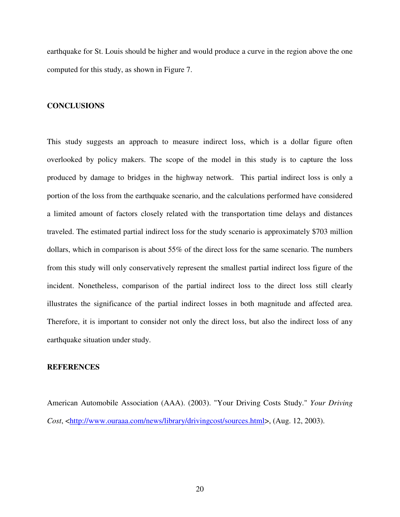earthquake for St. Louis should be higher and would produce a curve in the region above the one computed for this study, as shown in Figure 7.

#### **CONCLUSIONS**

This study suggests an approach to measure indirect loss, which is a dollar figure often overlooked by policy makers. The scope of the model in this study is to capture the loss produced by damage to bridges in the highway network. This partial indirect loss is only a portion of the loss from the earthquake scenario, and the calculations performed have considered a limited amount of factors closely related with the transportation time delays and distances traveled. The estimated partial indirect loss for the study scenario is approximately \$703 million dollars, which in comparison is about 55% of the direct loss for the same scenario. The numbers from this study will only conservatively represent the smallest partial indirect loss figure of the incident. Nonetheless, comparison of the partial indirect loss to the direct loss still clearly illustrates the significance of the partial indirect losses in both magnitude and affected area. Therefore, it is important to consider not only the direct loss, but also the indirect loss of any earthquake situation under study.

#### **REFERENCES**

American Automobile Association (AAA). (2003). "Your Driving Costs Study." *Your Driving Cost*, <http://www.ouraaa.com/news/library/drivingcost/sources.html>, (Aug. 12, 2003).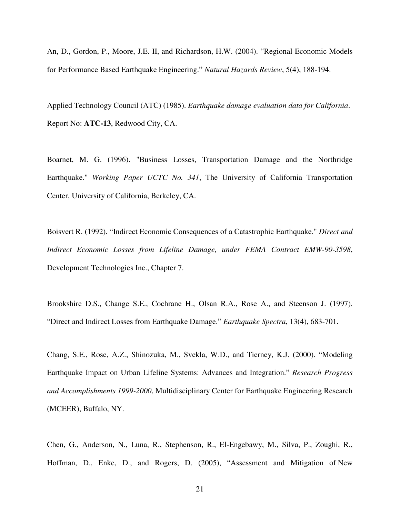An, D., Gordon, P., Moore, J.E. II, and Richardson, H.W. (2004). "Regional Economic Models for Performance Based Earthquake Engineering." *Natural Hazards Review*, 5(4), 188-194.

Applied Technology Council (ATC) (1985). *Earthquake damage evaluation data for California*. Report No: **ATC-13**, Redwood City, CA.

Boarnet, M. G. (1996). "Business Losses, Transportation Damage and the Northridge Earthquake." *Working Paper UCTC No. 341*, The University of California Transportation Center, University of California, Berkeley, CA.

Boisvert R. (1992). "Indirect Economic Consequences of a Catastrophic Earthquake." *Direct and Indirect Economic Losses from Lifeline Damage, under FEMA Contract EMW-90-3598*, Development Technologies Inc., Chapter 7.

Brookshire D.S., Change S.E., Cochrane H., Olsan R.A., Rose A., and Steenson J. (1997). "Direct and Indirect Losses from Earthquake Damage." *Earthquake Spectra*, 13(4), 683-701.

Chang, S.E., Rose, A.Z., Shinozuka, M., Svekla, W.D., and Tierney, K.J. (2000). "Modeling Earthquake Impact on Urban Lifeline Systems: Advances and Integration." *Research Progress and Accomplishments 1999-2000*, Multidisciplinary Center for Earthquake Engineering Research (MCEER), Buffalo, NY.

Chen, G., Anderson, N., Luna, R., Stephenson, R., El-Engebawy, M., Silva, P., Zoughi, R., Hoffman, D., Enke, D., and Rogers, D. (2005), "Assessment and Mitigation of New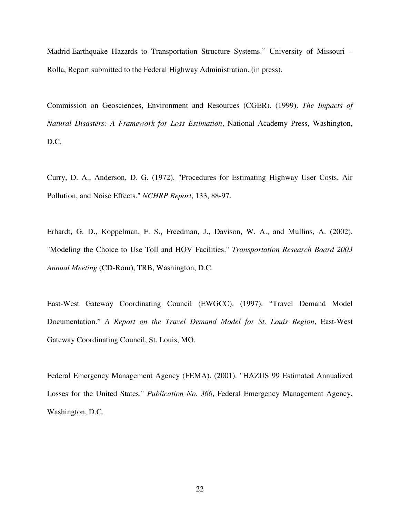Madrid Earthquake Hazards to Transportation Structure Systems." University of Missouri – Rolla, Report submitted to the Federal Highway Administration. (in press).

Commission on Geosciences, Environment and Resources (CGER). (1999). *The Impacts of Natural Disasters: A Framework for Loss Estimation*, National Academy Press, Washington, D.C.

Curry, D. A., Anderson, D. G. (1972). "Procedures for Estimating Highway User Costs, Air Pollution, and Noise Effects." *NCHRP Report*, 133, 88-97.

Erhardt, G. D., Koppelman, F. S., Freedman, J., Davison, W. A., and Mullins, A. (2002). "Modeling the Choice to Use Toll and HOV Facilities." *Transportation Research Board 2003 Annual Meeting* (CD-Rom), TRB, Washington, D.C.

East-West Gateway Coordinating Council (EWGCC). (1997). "Travel Demand Model Documentation." *A Report on the Travel Demand Model for St. Louis Region*, East-West Gateway Coordinating Council, St. Louis, MO.

Federal Emergency Management Agency (FEMA). (2001). "HAZUS 99 Estimated Annualized Losses for the United States." *Publication No. 366*, Federal Emergency Management Agency, Washington, D.C.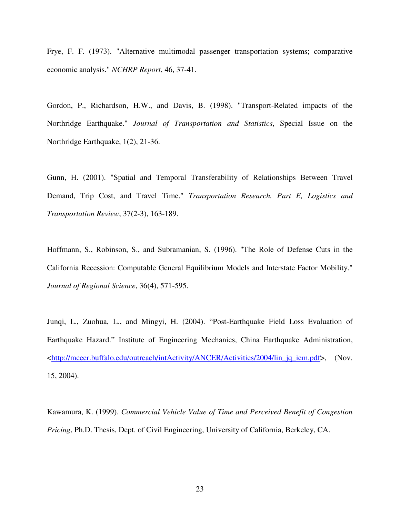Frye, F. F. (1973). "Alternative multimodal passenger transportation systems; comparative economic analysis." *NCHRP Report*, 46, 37-41.

Gordon, P., Richardson, H.W., and Davis, B. (1998). "Transport-Related impacts of the Northridge Earthquake." *Journal of Transportation and Statistics*, Special Issue on the Northridge Earthquake, 1(2), 21-36.

Gunn, H. (2001). "Spatial and Temporal Transferability of Relationships Between Travel Demand, Trip Cost, and Travel Time." *Transportation Research. Part E, Logistics and Transportation Review*, 37(2-3), 163-189.

Hoffmann, S., Robinson, S., and Subramanian, S. (1996). "The Role of Defense Cuts in the California Recession: Computable General Equilibrium Models and Interstate Factor Mobility." *Journal of Regional Science*, 36(4), 571-595.

Junqi, L., Zuohua, L., and Mingyi, H. (2004). "Post-Earthquake Field Loss Evaluation of Earthquake Hazard." Institute of Engineering Mechanics, China Earthquake Administration, <http://mceer.buffalo.edu/outreach/intActivity/ANCER/Activities/2004/lin\_jq\_iem.pdf>, (Nov. 15, 2004).

Kawamura, K. (1999). *Commercial Vehicle Value of Time and Perceived Benefit of Congestion Pricing*, Ph.D. Thesis, Dept. of Civil Engineering, University of California, Berkeley, CA.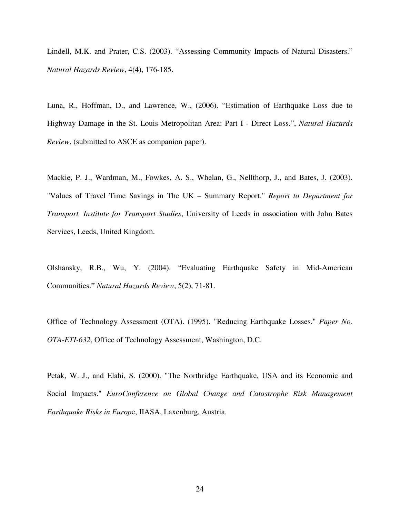Lindell, M.K. and Prater, C.S. (2003). "Assessing Community Impacts of Natural Disasters." *Natural Hazards Review*, 4(4), 176-185.

Luna, R., Hoffman, D., and Lawrence, W., (2006). "Estimation of Earthquake Loss due to Highway Damage in the St. Louis Metropolitan Area: Part I - Direct Loss.", *Natural Hazards Review*, (submitted to ASCE as companion paper).

Mackie, P. J., Wardman, M., Fowkes, A. S., Whelan, G., Nellthorp, J., and Bates, J. (2003). "Values of Travel Time Savings in The UK – Summary Report." *Report to Department for Transport, Institute for Transport Studies*, University of Leeds in association with John Bates Services, Leeds, United Kingdom.

Olshansky, R.B., Wu, Y. (2004). "Evaluating Earthquake Safety in Mid-American Communities." *Natural Hazards Review*, 5(2), 71-81.

Office of Technology Assessment (OTA). (1995). "Reducing Earthquake Losses." *Paper No. OTA-ETI-632*, Office of Technology Assessment, Washington, D.C.

Petak, W. J., and Elahi, S. (2000). "The Northridge Earthquake, USA and its Economic and Social Impacts." *EuroConference on Global Change and Catastrophe Risk Management Earthquake Risks in Europ*e, IIASA, Laxenburg, Austria.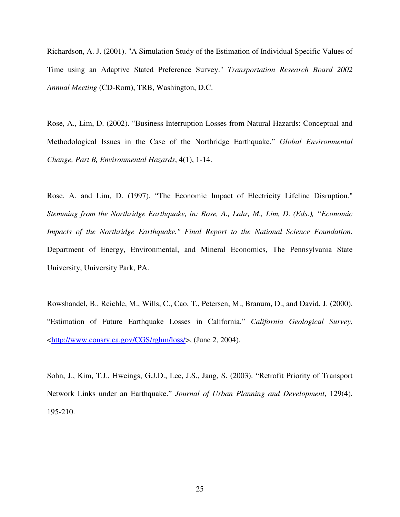Richardson, A. J. (2001). "A Simulation Study of the Estimation of Individual Specific Values of Time using an Adaptive Stated Preference Survey." *Transportation Research Board 2002 Annual Meeting* (CD-Rom), TRB, Washington, D.C.

Rose, A., Lim, D. (2002). "Business Interruption Losses from Natural Hazards: Conceptual and Methodological Issues in the Case of the Northridge Earthquake." *Global Environmental Change, Part B, Environmental Hazards*, 4(1), 1-14.

Rose, A. and Lim, D. (1997). "The Economic Impact of Electricity Lifeline Disruption." *Stemming from the Northridge Earthquake, in: Rose, A., Lahr, M., Lim, D. (Eds.), "Economic Impacts of the Northridge Earthquake." Final Report to the National Science Foundation*, Department of Energy, Environmental, and Mineral Economics, The Pennsylvania State University, University Park, PA.

Rowshandel, B., Reichle, M., Wills, C., Cao, T., Petersen, M., Branum, D., and David, J. (2000). "Estimation of Future Earthquake Losses in California." *California Geological Survey*, <http://www.consrv.ca.gov/CGS/rghm/loss/>, (June 2, 2004).

Sohn, J., Kim, T.J., Hweings, G.J.D., Lee, J.S., Jang, S. (2003). "Retrofit Priority of Transport Network Links under an Earthquake." *Journal of Urban Planning and Development*, 129(4), 195-210.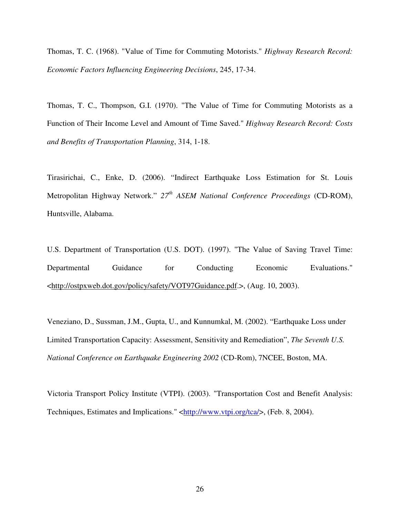Thomas, T. C. (1968). "Value of Time for Commuting Motorists." *Highway Research Record: Economic Factors Influencing Engineering Decisions*, 245, 17-34.

Thomas, T. C., Thompson, G.I. (1970). "The Value of Time for Commuting Motorists as a Function of Their Income Level and Amount of Time Saved." *Highway Research Record: Costs and Benefits of Transportation Planning*, 314, 1-18.

Tirasirichai, C., Enke, D. (2006). "Indirect Earthquake Loss Estimation for St. Louis Metropolitan Highway Network." *27th ASEM National Conference Proceedings* (CD-ROM), Huntsville, Alabama.

U.S. Department of Transportation (U.S. DOT). (1997). "The Value of Saving Travel Time: Departmental Guidance for Conducting Economic Evaluations." <http://ostpxweb.dot.gov/policy/safety/VOT97Guidance.pdf.>, (Aug. 10, 2003).

Veneziano, D., Sussman, J.M., Gupta, U., and Kunnumkal, M. (2002). "Earthquake Loss under Limited Transportation Capacity: Assessment, Sensitivity and Remediation", *The Seventh U.S. National Conference on Earthquake Engineering 2002* (CD-Rom), 7NCEE, Boston, MA.

Victoria Transport Policy Institute (VTPI). (2003). "Transportation Cost and Benefit Analysis: Techniques, Estimates and Implications." <http://www.vtpi.org/tca/>, (Feb. 8, 2004).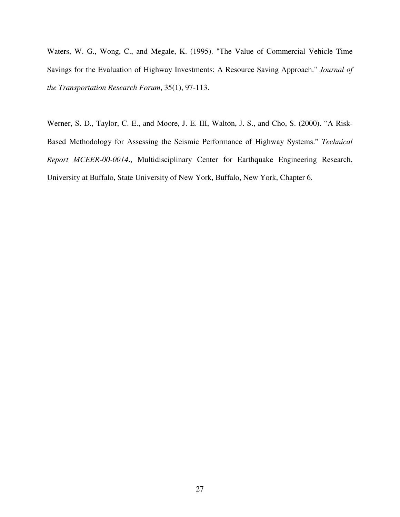Waters, W. G., Wong, C., and Megale, K. (1995). "The Value of Commercial Vehicle Time Savings for the Evaluation of Highway Investments: A Resource Saving Approach." *Journal of the Transportation Research Forum*, 35(1), 97-113.

Werner, S. D., Taylor, C. E., and Moore, J. E. III, Walton, J. S., and Cho, S. (2000). "A Risk-Based Methodology for Assessing the Seismic Performance of Highway Systems." *Technical Report MCEER-00-0014*., Multidisciplinary Center for Earthquake Engineering Research, University at Buffalo, State University of New York, Buffalo, New York, Chapter 6.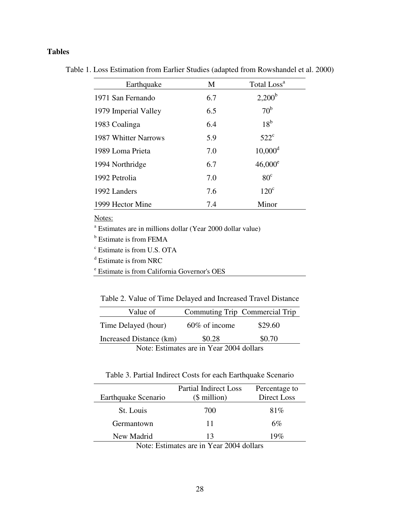## **Tables**

Table 1. Loss Estimation from Earlier Studies (adapted from Rowshandel et al. 2000)

| Earthquake           | M   | Total Loss <sup>a</sup> |
|----------------------|-----|-------------------------|
| 1971 San Fernando    | 6.7 | $2,200^{\rm b}$         |
| 1979 Imperial Valley | 6.5 | 70 <sup>b</sup>         |
| 1983 Coalinga        | 6.4 | $18^{\rm b}$            |
| 1987 Whitter Narrows | 5.9 | $522^{\circ}$           |
| 1989 Loma Prieta     | 7.0 | $10,000^{\rm d}$        |
| 1994 Northridge      | 6.7 | $46,000^e$              |
| 1992 Petrolia        | 7.0 | 80 <sup>c</sup>         |
| 1992 Landers         | 7.6 | $120^{\circ}$           |
| 1999 Hector Mine     | 7.4 | Minor                   |

Notes:

a Estimates are in millions dollar (Year 2000 dollar value)

<sup>b</sup> Estimate is from FEMA

c Estimate is from U.S. OTA

d Estimate is from NRC

e Estimate is from California Governor's OES

Table 2. Value of Time Delayed and Increased Travel Distance

| Value of                                 |                  | Commuting Trip Commercial Trip |  |  |
|------------------------------------------|------------------|--------------------------------|--|--|
| Time Delayed (hour)                      | $60\%$ of income | \$29.60                        |  |  |
| Increased Distance (km)                  | \$0.28           | \$0.70                         |  |  |
| Note: Estimates are in Year 2004 dollars |                  |                                |  |  |

Table 3. Partial Indirect Costs for each Earthquake Scenario

| Earthquake Scenario | <b>Partial Indirect Loss</b><br>$$$ million) | Percentage to<br>Direct Loss |
|---------------------|----------------------------------------------|------------------------------|
|                     |                                              |                              |
| St. Louis           | 700                                          | 81\%                         |
| Germantown          | 11                                           | 6%                           |
| New Madrid          | 13                                           | 19 $\%$                      |
|                     |                                              |                              |

Note: Estimates are in Year 2004 dollars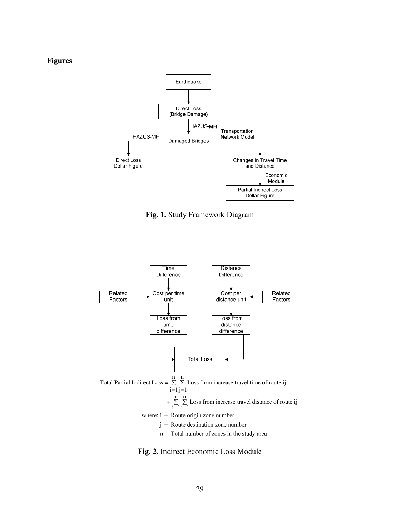#### **Figures**



**Fig. 1.** Study Framework Diagram



**Fig. 2.** Indirect Economic Loss Module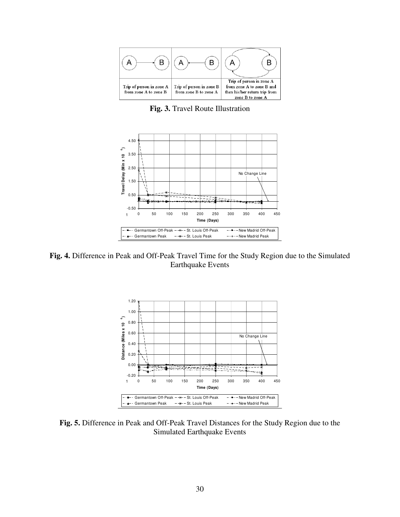

**Fig. 3.** Travel Route Illustration



**Fig. 4.** Difference in Peak and Off-Peak Travel Time for the Study Region due to the Simulated Earthquake Events



**Fig. 5.** Difference in Peak and Off-Peak Travel Distances for the Study Region due to the Simulated Earthquake Events